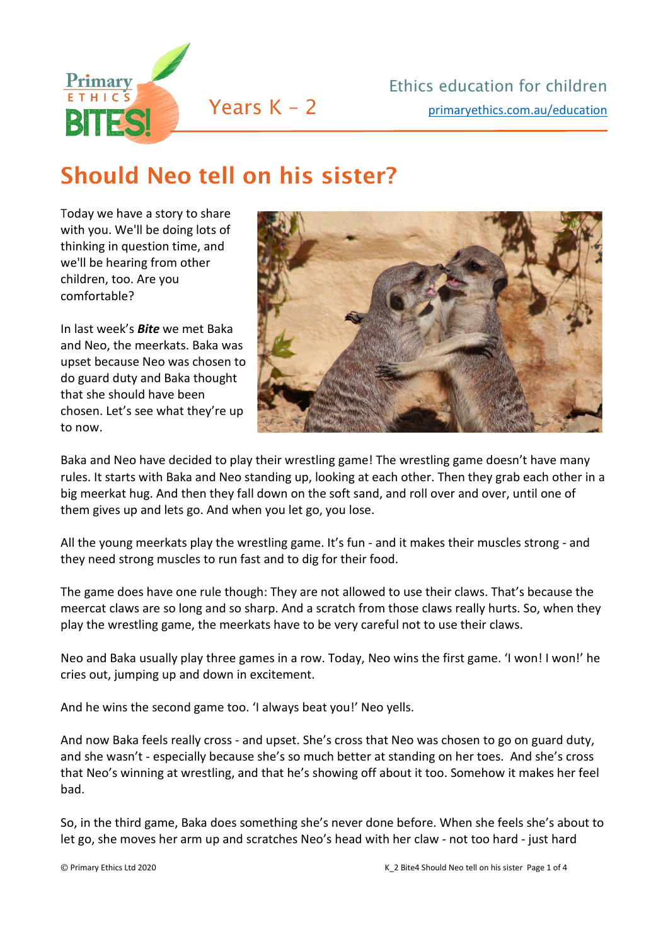

## Should Neo tell on his sister?

Today we have a story to share with you. We'll be doing lots of thinking in question time, and we'll be hearing from other children, too. Are you comfortable?

In last week's *Bite* we met Baka and Neo, the meerkats. Baka was upset because Neo was chosen to do guard duty and Baka thought that she should have been chosen. Let's see what they're up to now.



Baka and Neo have decided to play their wrestling game! The wrestling game doesn't have many rules. It starts with Baka and Neo standing up, looking at each other. Then they grab each other in a big meerkat hug. And then they fall down on the soft sand, and roll over and over, until one of them gives up and lets go. And when you let go, you lose.

All the young meerkats play the wrestling game. It's fun - and it makes their muscles strong - and they need strong muscles to run fast and to dig for their food.

The game does have one rule though: They are not allowed to use their claws. That's because the meercat claws are so long and so sharp. And a scratch from those claws really hurts. So, when they play the wrestling game, the meerkats have to be very careful not to use their claws.

Neo and Baka usually play three games in a row. Today, Neo wins the first game. 'I won! I won!' he cries out, jumping up and down in excitement.

And he wins the second game too. 'I always beat you!' Neo yells.

And now Baka feels really cross - and upset. She's cross that Neo was chosen to go on guard duty, and she wasn't - especially because she's so much better at standing on her toes. And she's cross that Neo's winning at wrestling, and that he's showing off about it too. Somehow it makes her feel bad.

So, in the third game, Baka does something she's never done before. When she feels she's about to let go, she moves her arm up and scratches Neo's head with her claw - not too hard - just hard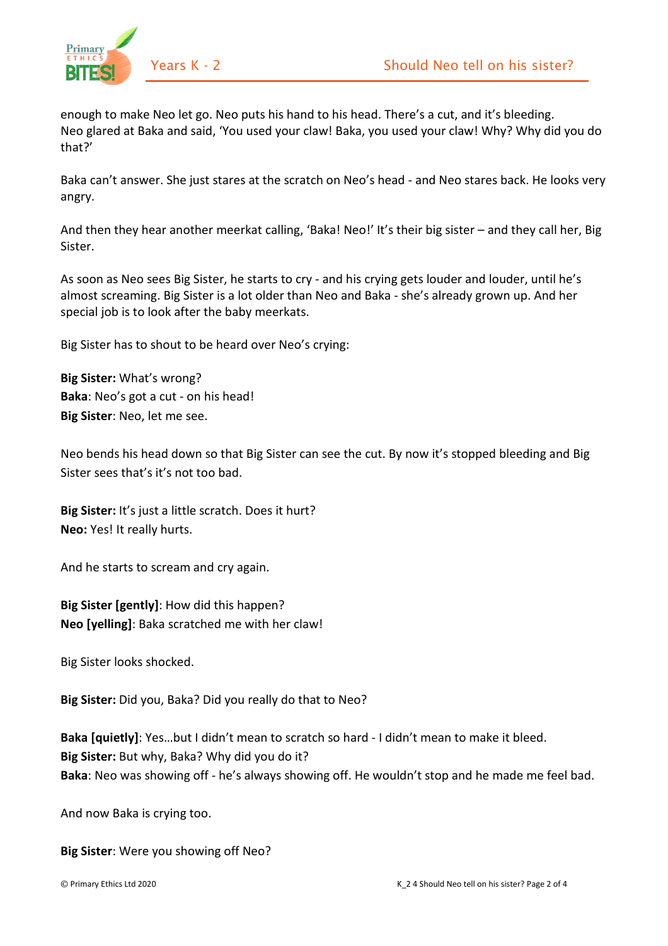

enough to make Neo let go. Neo puts his hand to his head. There's a cut, and it's bleeding. Neo glared at Baka and said, 'You used your claw! Baka, you used your claw! Why? Why did you do that?'

Baka can't answer. She just stares at the scratch on Neo's head - and Neo stares back. He looks very angry.

And then they hear another meerkat calling, 'Baka! Neo!' It's their big sister – and they call her, Big Sister.

As soon as Neo sees Big Sister, he starts to cry - and his crying gets louder and louder, until he's almost screaming. Big Sister is a lot older than Neo and Baka - she's already grown up. And her special job is to look after the baby meerkats.

Big Sister has to shout to be heard over Neo's crying:

**Big Sister:** What's wrong? **Baka**: Neo's got a cut - on his head! **Big Sister**: Neo, let me see.

Neo bends his head down so that Big Sister can see the cut. By now it's stopped bleeding and Big Sister sees that's it's not too bad.

**Big Sister:** It's just a little scratch. Does it hurt? **Neo:** Yes! It really hurts.

And he starts to scream and cry again.

**Big Sister [gently]**: How did this happen? **Neo [yelling]**: Baka scratched me with her claw!

Big Sister looks shocked.

**Big Sister:** Did you, Baka? Did you really do that to Neo?

**Baka [quietly]**: Yes…but I didn't mean to scratch so hard - I didn't mean to make it bleed. **Big Sister:** But why, Baka? Why did you do it? **Baka**: Neo was showing off - he's always showing off. He wouldn't stop and he made me feel bad.

And now Baka is crying too.

**Big Sister**: Were you showing off Neo?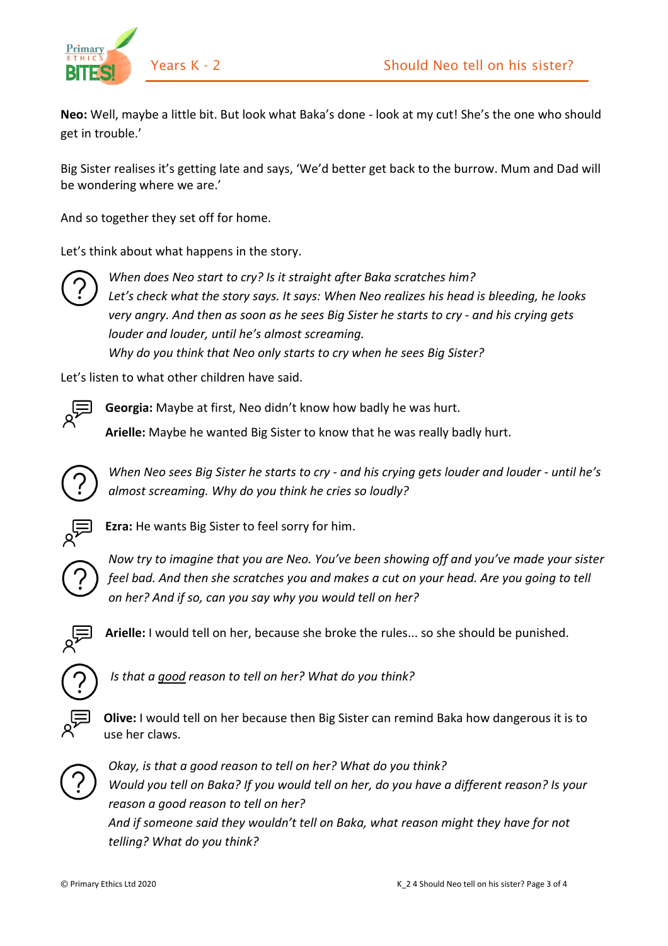



**Neo:** Well, maybe a little bit. But look what Baka's done - look at my cut! She's the one who should get in trouble.'

Big Sister realises it's getting late and says, 'We'd better get back to the burrow. Mum and Dad will be wondering where we are.'

And so together they set off for home.

Let's think about what happens in the story.



*When does Neo start to cry? Is it straight after Baka scratches him? Let's check what the story says. It says: When Neo realizes his head is bleeding, he looks very angry. And then as soon as he sees Big Sister he starts to cry - and his crying gets louder and louder, until he's almost screaming. Why do you think that Neo only starts to cry when he sees Big Sister?* 

Let's listen to what other children have said.



**Georgia:** Maybe at first, Neo didn't know how badly he was hurt.

**Arielle:** Maybe he wanted Big Sister to know that he was really badly hurt.



*When Neo sees Big Sister he starts to cry - and his crying gets louder and louder - until he's almost screaming. Why do you think he cries so loudly?*



**Ezra:** He wants Big Sister to feel sorry for him.



*Now try to imagine that you are Neo. You've been showing off and you've made your sister feel bad. And then she scratches you and makes a cut on your head. Are you going to tell on her? And if so, can you say why you would tell on her?*



**Arielle:** I would tell on her, because she broke the rules... so she should be punished.



*Is that a good reason to tell on her? What do you think?*



**Olive:** I would tell on her because then Big Sister can remind Baka how dangerous it is to use her claws.



*Okay, is that a good reason to tell on her? What do you think? Would you tell on Baka? If you would tell on her, do you have a different reason? Is your reason a good reason to tell on her? And if someone said they wouldn't tell on Baka, what reason might they have for not telling? What do you think?*